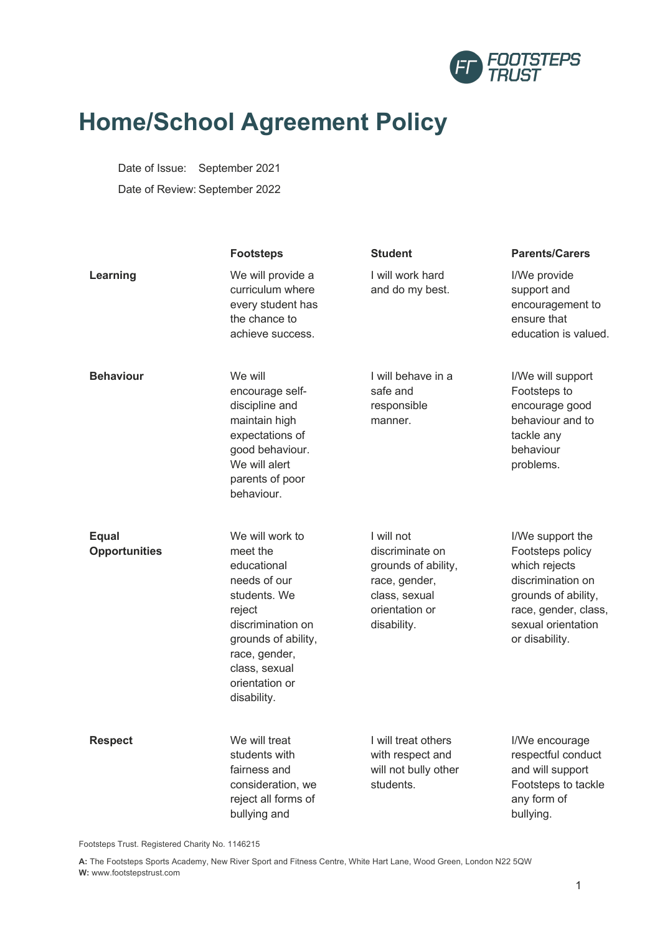

# **Home/School Agreement Policy**

Date of Issue: September 2021 Date of Review: September 2022

|                                      | <b>Footsteps</b>                                                                                                                                                                                    | <b>Student</b>                                                                                                          | <b>Parents/Carers</b>                                                                                                                                             |
|--------------------------------------|-----------------------------------------------------------------------------------------------------------------------------------------------------------------------------------------------------|-------------------------------------------------------------------------------------------------------------------------|-------------------------------------------------------------------------------------------------------------------------------------------------------------------|
| Learning                             | We will provide a<br>curriculum where<br>every student has<br>the chance to<br>achieve success.                                                                                                     | I will work hard<br>and do my best.                                                                                     | I/We provide<br>support and<br>encouragement to<br>ensure that<br>education is valued.                                                                            |
| <b>Behaviour</b>                     | We will<br>encourage self-<br>discipline and<br>maintain high<br>expectations of<br>good behaviour.<br>We will alert<br>parents of poor<br>behaviour.                                               | I will behave in a<br>safe and<br>responsible<br>manner.                                                                | I/We will support<br>Footsteps to<br>encourage good<br>behaviour and to<br>tackle any<br>behaviour<br>problems.                                                   |
| <b>Equal</b><br><b>Opportunities</b> | We will work to<br>meet the<br>educational<br>needs of our<br>students. We<br>reject<br>discrimination on<br>grounds of ability,<br>race, gender,<br>class, sexual<br>orientation or<br>disability. | I will not<br>discriminate on<br>grounds of ability,<br>race, gender,<br>class, sexual<br>orientation or<br>disability. | I/We support the<br>Footsteps policy<br>which rejects<br>discrimination on<br>grounds of ability,<br>race, gender, class,<br>sexual orientation<br>or disability. |
| <b>Respect</b>                       | We will treat<br>students with<br>fairness and<br>consideration, we<br>reject all forms of<br>bullying and                                                                                          | I will treat others<br>with respect and<br>will not bully other<br>students.                                            | I/We encourage<br>respectful conduct<br>and will support<br>Footsteps to tackle<br>any form of<br>bullying.                                                       |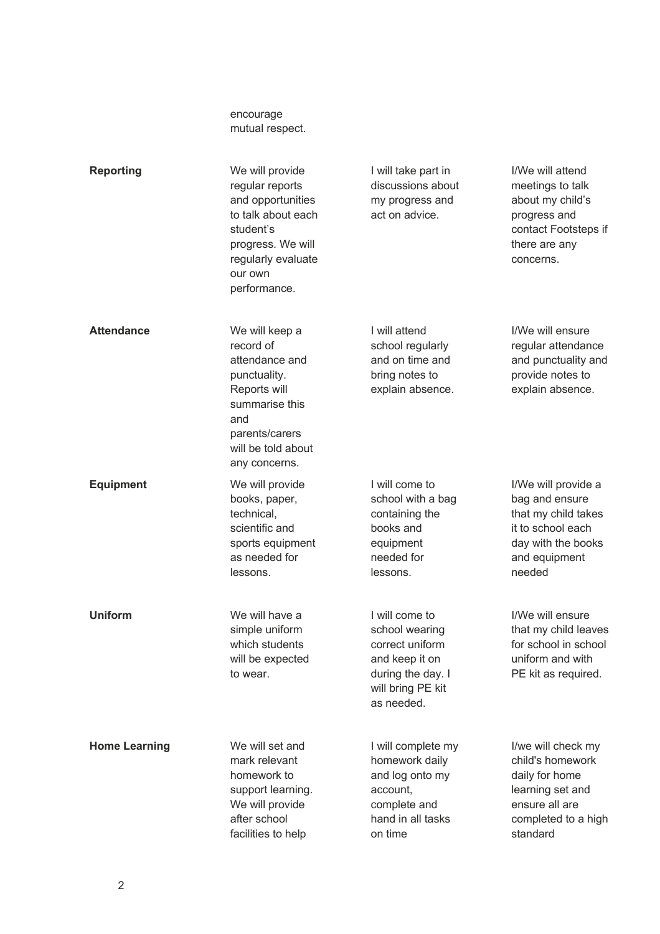|                      | encourage<br>mutual respect.                                                                                                                                     |                                                                                                                               |                                                                                                                                    |
|----------------------|------------------------------------------------------------------------------------------------------------------------------------------------------------------|-------------------------------------------------------------------------------------------------------------------------------|------------------------------------------------------------------------------------------------------------------------------------|
| <b>Reporting</b>     | We will provide<br>regular reports<br>and opportunities<br>to talk about each<br>student's<br>progress. We will<br>regularly evaluate<br>our own<br>performance. | I will take part in<br>discussions about<br>my progress and<br>act on advice.                                                 | I/We will attend<br>meetings to talk<br>about my child's<br>progress and<br>contact Footsteps if<br>there are any<br>concerns.     |
| <b>Attendance</b>    | We will keep a<br>record of<br>attendance and<br>punctuality.<br>Reports will<br>summarise this<br>and<br>parents/carers<br>will be told about<br>any concerns.  | I will attend<br>school regularly<br>and on time and<br>bring notes to<br>explain absence.                                    | I/We will ensure<br>regular attendance<br>and punctuality and<br>provide notes to<br>explain absence.                              |
| <b>Equipment</b>     | We will provide<br>books, paper,<br>technical,<br>scientific and<br>sports equipment<br>as needed for<br>lessons.                                                | I will come to<br>school with a bag<br>containing the<br>books and<br>equipment<br>needed for<br>lessons.                     | I/We will provide a<br>bag and ensure<br>that my child takes<br>it to school each<br>day with the books<br>and equipment<br>needed |
| <b>Uniform</b>       | We will have a<br>simple uniform<br>which students<br>will be expected<br>to wear.                                                                               | I will come to<br>school wearing<br>correct uniform<br>and keep it on<br>during the day. I<br>will bring PE kit<br>as needed. | I/We will ensure<br>that my child leaves<br>for school in school<br>uniform and with<br>PE kit as required.                        |
| <b>Home Learning</b> | We will set and<br>mark relevant<br>homework to<br>support learning.<br>We will provide<br>after school<br>facilities to help                                    | I will complete my<br>homework daily<br>and log onto my<br>account,<br>complete and<br>hand in all tasks<br>on time           | I/we will check my<br>child's homework<br>daily for home<br>learning set and<br>ensure all are<br>completed to a high<br>standard  |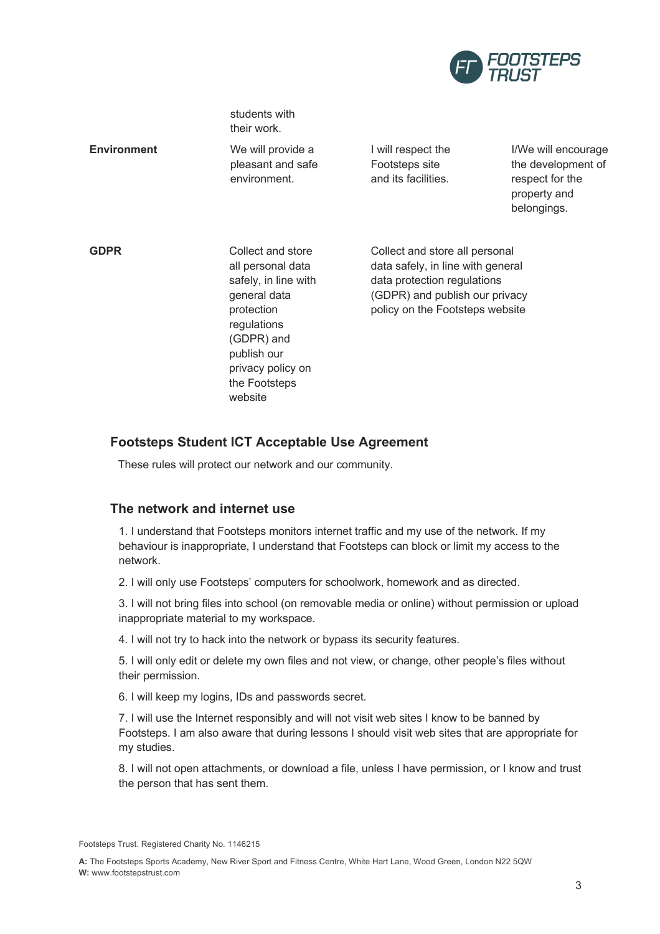

|                    | students with<br>their work.                                                                                                                                                              |                                                                                                                                                                         |                                                                                             |
|--------------------|-------------------------------------------------------------------------------------------------------------------------------------------------------------------------------------------|-------------------------------------------------------------------------------------------------------------------------------------------------------------------------|---------------------------------------------------------------------------------------------|
| <b>Environment</b> | We will provide a<br>pleasant and safe<br>environment.                                                                                                                                    | I will respect the<br>Footsteps site<br>and its facilities.                                                                                                             | I/We will encourage<br>the development of<br>respect for the<br>property and<br>belongings. |
| <b>GDPR</b>        | Collect and store<br>all personal data<br>safely, in line with<br>general data<br>protection<br>regulations<br>(GDPR) and<br>publish our<br>privacy policy on<br>the Footsteps<br>website | Collect and store all personal<br>data safely, in line with general<br>data protection regulations<br>(GDPR) and publish our privacy<br>policy on the Footsteps website |                                                                                             |

## **Footsteps Student ICT Acceptable Use Agreement**

These rules will protect our network and our community.

## **The network and internet use**

1. I understand that Footsteps monitors internet traffic and my use of the network. If my behaviour is inappropriate, I understand that Footsteps can block or limit my access to the network.

2. I will only use Footsteps' computers for schoolwork, homework and as directed.

3. I will not bring files into school (on removable media or online) without permission or upload inappropriate material to my workspace.

4. I will not try to hack into the network or bypass its security features.

5. I will only edit or delete my own files and not view, or change, other people's files without their permission.

6. I will keep my logins, IDs and passwords secret.

7. I will use the Internet responsibly and will not visit web sites I know to be banned by Footsteps. I am also aware that during lessons I should visit web sites that are appropriate for my studies.

8. I will not open attachments, or download a file, unless I have permission, or I know and trust the person that has sent them.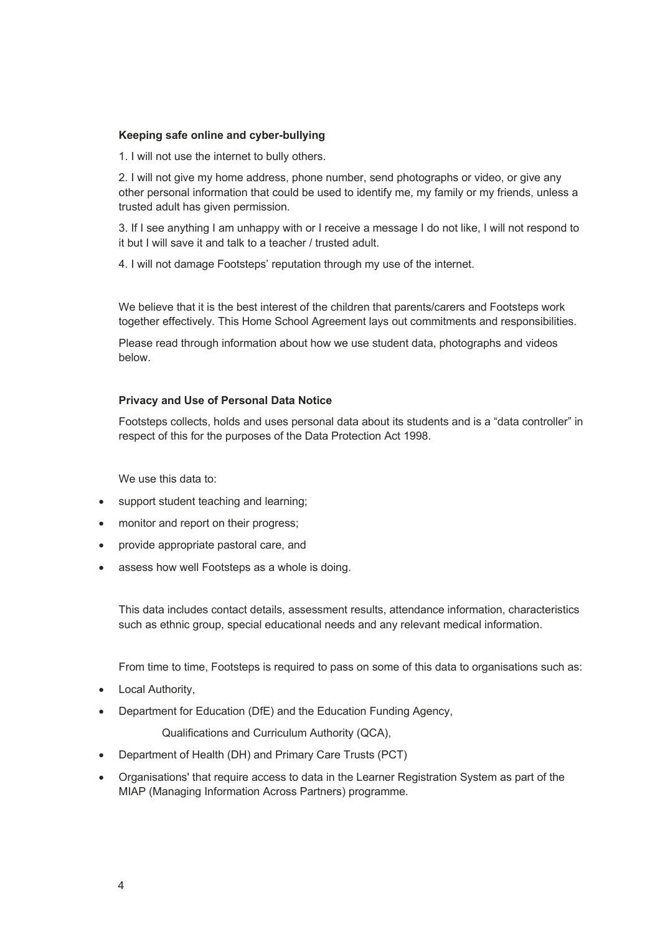#### **Keeping safe online and cyber-bullying**

1. I will not use the internet to bully others.

2. I will not give my home address, phone number, send photographs or video, or give any other personal information that could be used to identify me, my family or my friends, unless a trusted adult has given permission.

3. If I see anything I am unhappy with or I receive a message I do not like, I will not respond to it but I will save it and talk to a teacher / trusted adult.

4. I will not damage Footsteps' reputation through my use of the internet.

We believe that it is the best interest of the children that parents/carers and Footsteps work together effectively. This Home School Agreement lays out commitments and responsibilities.

Please read through information about how we use student data, photographs and videos below.

#### **Privacy and Use of Personal Data Notice**

Footsteps collects, holds and uses personal data about its students and is a "data controller" in respect of this for the purposes of the Data Protection Act 1998.

We use this data to:

- support student teaching and learning;
- monitor and report on their progress;
- provide appropriate pastoral care, and
- assess how well Footsteps as a whole is doing.

This data includes contact details, assessment results, attendance information, characteristics such as ethnic group, special educational needs and any relevant medical information.

From time to time, Footsteps is required to pass on some of this data to organisations such as:

- Local Authority,
- Department for Education (DfE) and the Education Funding Agency,

Qualifications and Curriculum Authority (QCA),

- Department of Health (DH) and Primary Care Trusts (PCT)
- Organisations' that require access to data in the Learner Registration System as part of the MIAP (Managing Information Across Partners) programme.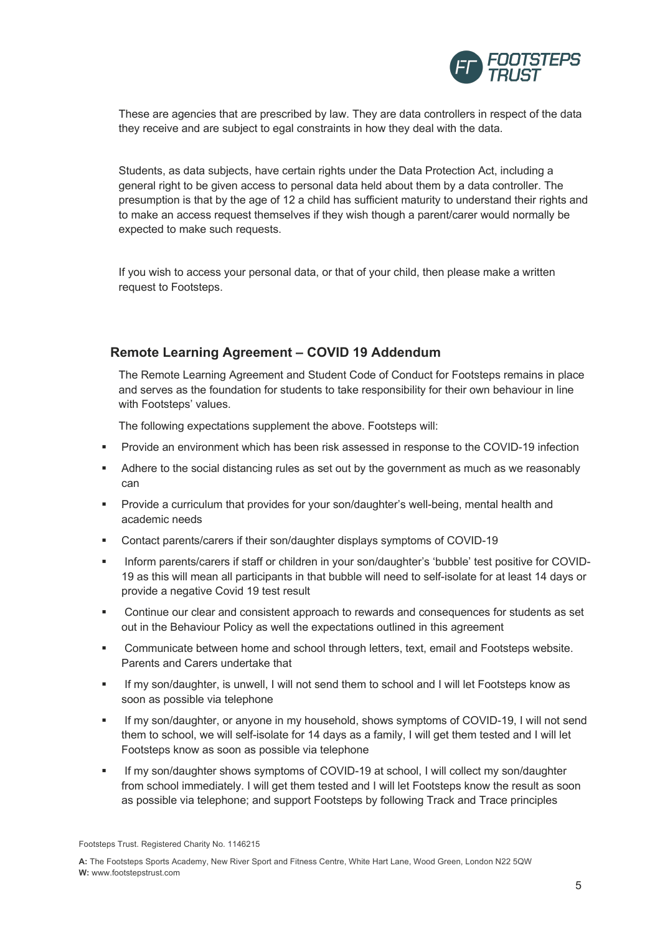

These are agencies that are prescribed by law. They are data controllers in respect of the data they receive and are subject to egal constraints in how they deal with the data.

Students, as data subjects, have certain rights under the Data Protection Act, including a general right to be given access to personal data held about them by a data controller. The presumption is that by the age of 12 a child has sufficient maturity to understand their rights and to make an access request themselves if they wish though a parent/carer would normally be expected to make such requests.

If you wish to access your personal data, or that of your child, then please make a written request to Footsteps.

### **Remote Learning Agreement – COVID 19 Addendum**

The Remote Learning Agreement and Student Code of Conduct for Footsteps remains in place and serves as the foundation for students to take responsibility for their own behaviour in line with Footsteps' values.

The following expectations supplement the above. Footsteps will:

- § Provide an environment which has been risk assessed in response to the COVID-19 infection
- § Adhere to the social distancing rules as set out by the government as much as we reasonably can
- § Provide a curriculum that provides for your son/daughter's well-being, mental health and academic needs
- § Contact parents/carers if their son/daughter displays symptoms of COVID-19
- § Inform parents/carers if staff or children in your son/daughter's 'bubble' test positive for COVID-19 as this will mean all participants in that bubble will need to self-isolate for at least 14 days or provide a negative Covid 19 test result
- § Continue our clear and consistent approach to rewards and consequences for students as set out in the Behaviour Policy as well the expectations outlined in this agreement
- **•** Communicate between home and school through letters, text, email and Footsteps website. Parents and Carers undertake that
- § If my son/daughter, is unwell, I will not send them to school and I will let Footsteps know as soon as possible via telephone
- **•** If my son/daughter, or anyone in my household, shows symptoms of COVID-19, I will not send them to school, we will self-isolate for 14 days as a family, I will get them tested and I will let Footsteps know as soon as possible via telephone
- **•** If my son/daughter shows symptoms of COVID-19 at school, I will collect my son/daughter from school immediately. I will get them tested and I will let Footsteps know the result as soon as possible via telephone; and support Footsteps by following Track and Trace principles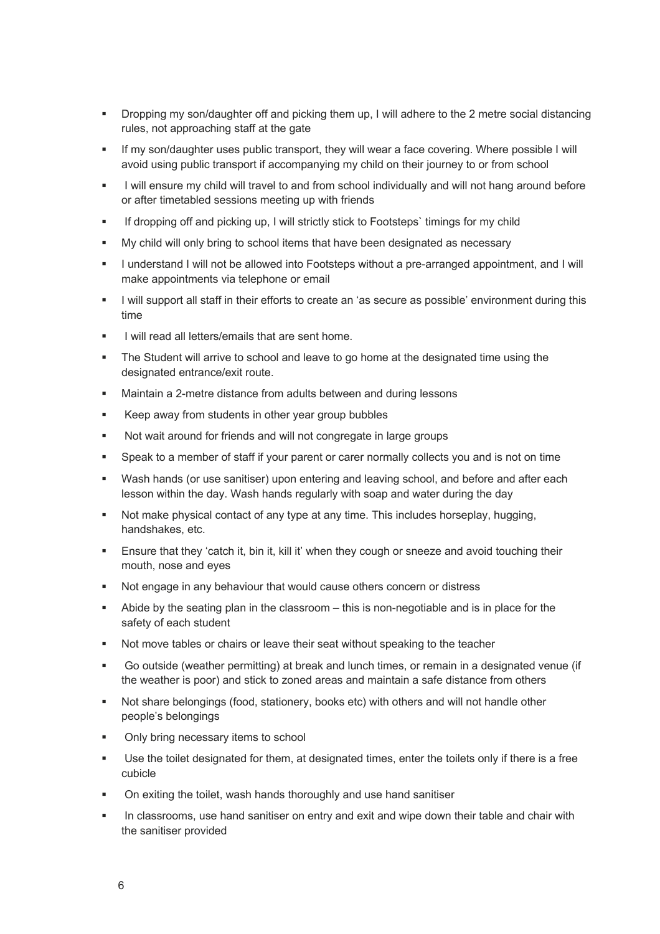- Dropping my son/daughter off and picking them up, I will adhere to the 2 metre social distancing rules, not approaching staff at the gate
- If my son/daughter uses public transport, they will wear a face covering. Where possible I will avoid using public transport if accompanying my child on their journey to or from school
- I will ensure my child will travel to and from school individually and will not hang around before or after timetabled sessions meeting up with friends
- § If dropping off and picking up, I will strictly stick to Footsteps` timings for my child
- § My child will only bring to school items that have been designated as necessary
- § I understand I will not be allowed into Footsteps without a pre-arranged appointment, and I will make appointments via telephone or email
- **•** I will support all staff in their efforts to create an 'as secure as possible' environment during this time
- § I will read all letters/emails that are sent home.
- The Student will arrive to school and leave to go home at the designated time using the designated entrance/exit route.
- Maintain a 2-metre distance from adults between and during lessons
- Keep away from students in other year group bubbles
- Not wait around for friends and will not congregate in large groups
- § Speak to a member of staff if your parent or carer normally collects you and is not on time
- § Wash hands (or use sanitiser) upon entering and leaving school, and before and after each lesson within the day. Wash hands regularly with soap and water during the day
- Not make physical contact of any type at any time. This includes horseplay, hugging, handshakes, etc.
- **Ensure that they 'catch it, bin it, kill it' when they cough or sneeze and avoid touching their** mouth, nose and eyes
- Not engage in any behaviour that would cause others concern or distress
- Abide by the seating plan in the classroom this is non-negotiable and is in place for the safety of each student
- § Not move tables or chairs or leave their seat without speaking to the teacher
- § Go outside (weather permitting) at break and lunch times, or remain in a designated venue (if the weather is poor) and stick to zoned areas and maintain a safe distance from others
- § Not share belongings (food, stationery, books etc) with others and will not handle other people's belongings
- Only bring necessary items to school
- Use the toilet designated for them, at designated times, enter the toilets only if there is a free cubicle
- § On exiting the toilet, wash hands thoroughly and use hand sanitiser
- In classrooms, use hand sanitiser on entry and exit and wipe down their table and chair with the sanitiser provided